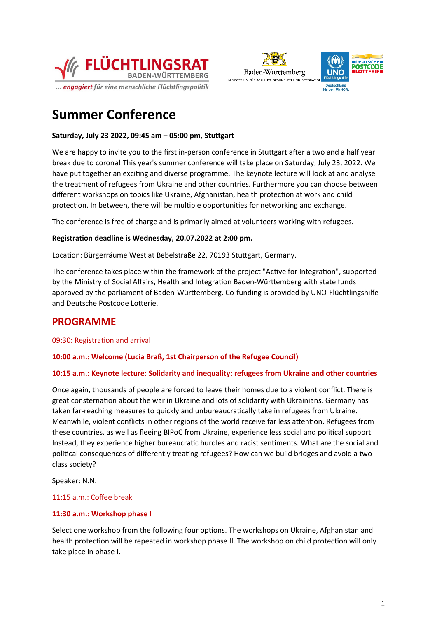



# **Summer Conference**

# **Saturday, July 23 2022, 09:45 am – 05:00 pm, Stuttgart**

We are happy to invite you to the first in-person conference in Stuttgart after a two and a half year break due to corona! This year's summer conference will take place on Saturday, July 23, 2022. We have put together an exciting and diverse programme. The keynote lecture will look at and analyse the treatment of refugees from Ukraine and other countries. Furthermore you can choose between different workshops on topics like Ukraine, Afghanistan, health protection at work and child protection. In between, there will be multiple opportunities for networking and exchange.

The conference is free of charge and is primarily aimed at volunteers working with refugees.

# **Registration deadline is Wednesday, 20.07.2022 at 2:00 pm.**

Location: Bürgerräume West at Bebelstraße 22, 70193 Stuttgart, Germany.

The conference takes place within the framework of the project "Active for Integration", supported by the Ministry of Social Affairs, Health and Integration Baden-Württemberg with state funds approved by the parliament of Baden-Württemberg. Co-funding is provided by UNO-Flüchtlingshilfe and Deutsche Postcode Lotterie.

# **PROGRAMME**

09:30: Registration and arrival

**10:00 a.m.: Welcome (Lucia Braß, 1st Chairperson of the Refugee Council)**

#### **10:15 a.m.: Keynote lecture: Solidarity and inequality: refugees from Ukraine and other countries**

Once again, thousands of people are forced to leave their homes due to a violent conflict. There is great consternation about the war in Ukraine and lots of solidarity with Ukrainians. Germany has taken far-reaching measures to quickly and unbureaucratically take in refugees from Ukraine. Meanwhile, violent conflicts in other regions of the world receive far less attention. Refugees from these countries, as well as fleeing BIPoC from Ukraine, experience less social and political support. Instead, they experience higher bureaucratic hurdles and racist sentiments. What are the social and political consequences of differently treating refugees? How can we build bridges and avoid a twoclass society?

Speaker: N.N.

#### 11:15 a.m.: Coffee break

# **11:30 a.m.: Workshop phase I**

Select one workshop from the following four options. The workshops on Ukraine, Afghanistan and health protection will be repeated in workshop phase II. The workshop on child protection will only take place in phase I.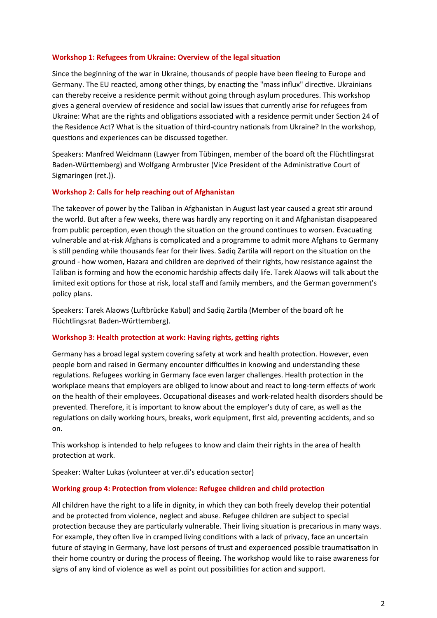#### **Workshop 1: Refugees from Ukraine: Overview of the legal situation**

Since the beginning of the war in Ukraine, thousands of people have been fleeing to Europe and Germany. The EU reacted, among other things, by enacting the "mass influx" directive. Ukrainians can thereby receive a residence permit without going through asylum procedures. This workshop gives a general overview of residence and social law issues that currently arise for refugees from Ukraine: What are the rights and obligations associated with a residence permit under Section 24 of the Residence Act? What is the situation of third-country nationals from Ukraine? In the workshop, questions and experiences can be discussed together.

Speakers: Manfred Weidmann (Lawyer from Tübingen, member of the board oft the Flüchtlingsrat Baden-Württemberg) and Wolfgang Armbruster (Vice President of the Administrative Court of Sigmaringen (ret.)).

#### **Workshop 2: Calls for help reaching out of Afghanistan**

The takeover of power by the Taliban in Afghanistan in August last year caused a great stir around the world. But after a few weeks, there was hardly any reporting on it and Afghanistan disappeared from public perception, even though the situation on the ground continues to worsen. Evacuating vulnerable and at-risk Afghans is complicated and a programme to admit more Afghans to Germany is still pending while thousands fear for their lives. Sadiq Zartila will report on the situation on the ground - how women, Hazara and children are deprived of their rights, how resistance against the Taliban is forming and how the economic hardship affects daily life. Tarek Alaows will talk about the limited exit options for those at risk, local staff and family members, and the German government's policy plans.

Speakers: Tarek Alaows (Luftbrücke Kabul) and Sadiq Zartila (Member of the board oft he Flüchtlingsrat Baden-Württemberg).

#### **Workshop 3: Health protection at work: Having rights, getting rights**

Germany has a broad legal system covering safety at work and health protection. However, even people born and raised in Germany encounter difficulties in knowing and understanding these regulations. Refugees working in Germany face even larger challenges. Health protection in the workplace means that employers are obliged to know about and react to long-term effects of work on the health of their employees. Occupational diseases and work-related health disorders should be prevented. Therefore, it is important to know about the employer's duty of care, as well as the regulations on daily working hours, breaks, work equipment, first aid, preventing accidents, and so on.

This workshop is intended to help refugees to know and claim their rights in the area of health protection at work.

Speaker: Walter Lukas (volunteer at ver.di's education sector)

#### **Working group 4: Protection from violence: Refugee children and child protection**

All children have the right to a life in dignity, in which they can both freely develop their potential and be protected from violence, neglect and abuse. Refugee children are subject to special protection because they are particularly vulnerable. Their living situation is precarious in many ways. For example, they often live in cramped living conditions with a lack of privacy, face an uncertain future of staying in Germany, have lost persons of trust and experoenced possible traumatisation in their home country or during the process of fleeing. The workshop would like to raise awareness for signs of any kind of violence as well as point out possibilities for action and support.